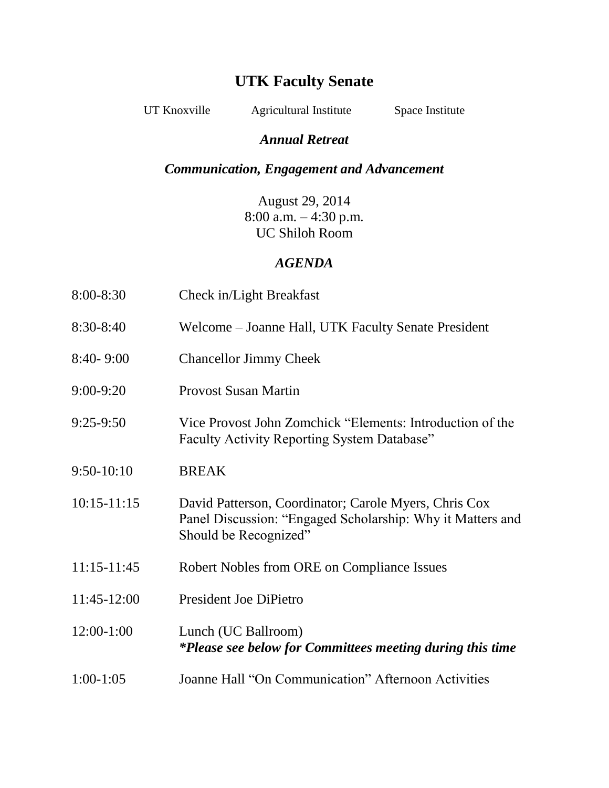# **UTK Faculty Senate**

UT Knoxville Agricultural Institute Space Institute

### *Annual Retreat*

## *Communication, Engagement and Advancement*

August 29, 2014 8:00 a.m. – 4:30 p.m. UC Shiloh Room

### *AGENDA*

| 8:00-8:30       | Check in/Light Breakfast                                                                                                                     |
|-----------------|----------------------------------------------------------------------------------------------------------------------------------------------|
| 8:30-8:40       | Welcome – Joanne Hall, UTK Faculty Senate President                                                                                          |
| $8:40 - 9:00$   | <b>Chancellor Jimmy Cheek</b>                                                                                                                |
| 9:00-9:20       | <b>Provost Susan Martin</b>                                                                                                                  |
| $9:25-9:50$     | Vice Provost John Zomchick "Elements: Introduction of the<br><b>Faculty Activity Reporting System Database"</b>                              |
| $9:50-10:10$    | <b>BREAK</b>                                                                                                                                 |
| $10:15 - 11:15$ | David Patterson, Coordinator; Carole Myers, Chris Cox<br>Panel Discussion: "Engaged Scholarship: Why it Matters and<br>Should be Recognized" |
| 11:15-11:45     | Robert Nobles from ORE on Compliance Issues                                                                                                  |
| 11:45-12:00     | President Joe DiPietro                                                                                                                       |
| 12:00-1:00      | Lunch (UC Ballroom)<br>*Please see below for Committees meeting during this time                                                             |
| $1:00-1:05$     | Joanne Hall "On Communication" Afternoon Activities                                                                                          |